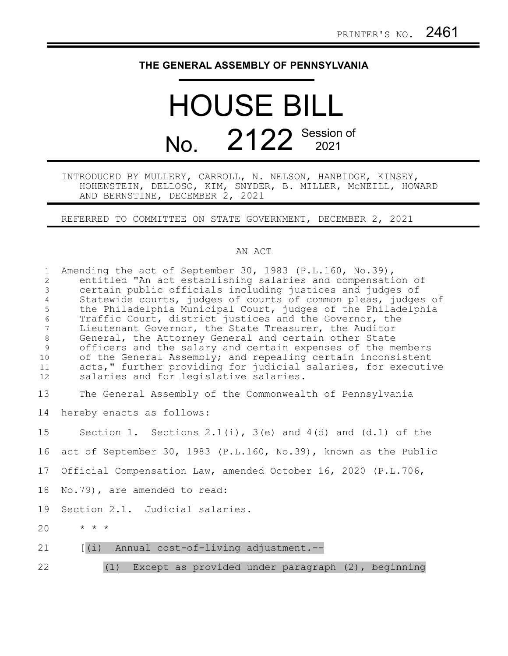## **THE GENERAL ASSEMBLY OF PENNSYLVANIA**

## HOUSE BILL No. 2122 Session of

## INTRODUCED BY MULLERY, CARROLL, N. NELSON, HANBIDGE, KINSEY, HOHENSTEIN, DELLOSO, KIM, SNYDER, B. MILLER, McNEILL, HOWARD AND BERNSTINE, DECEMBER 2, 2021

REFERRED TO COMMITTEE ON STATE GOVERNMENT, DECEMBER 2, 2021

## AN ACT

| $\mathbf{1}$<br>2<br>$\mathfrak{Z}$<br>$\overline{4}$<br>5<br>$6\,$<br>$7\overline{ }$<br>$\,8\,$<br>$\mathcal{G}$<br>10<br>11<br>12 | Amending the act of September 30, 1983 (P.L.160, No.39),<br>entitled "An act establishing salaries and compensation of<br>certain public officials including justices and judges of<br>Statewide courts, judges of courts of common pleas, judges of<br>the Philadelphia Municipal Court, judges of the Philadelphia<br>Traffic Court, district justices and the Governor, the<br>Lieutenant Governor, the State Treasurer, the Auditor<br>General, the Attorney General and certain other State<br>officers and the salary and certain expenses of the members<br>of the General Assembly; and repealing certain inconsistent<br>acts," further providing for judicial salaries, for executive<br>salaries and for legislative salaries. |
|--------------------------------------------------------------------------------------------------------------------------------------|-------------------------------------------------------------------------------------------------------------------------------------------------------------------------------------------------------------------------------------------------------------------------------------------------------------------------------------------------------------------------------------------------------------------------------------------------------------------------------------------------------------------------------------------------------------------------------------------------------------------------------------------------------------------------------------------------------------------------------------------|
| 13                                                                                                                                   | The General Assembly of the Commonwealth of Pennsylvania                                                                                                                                                                                                                                                                                                                                                                                                                                                                                                                                                                                                                                                                                  |
| 14                                                                                                                                   | hereby enacts as follows:                                                                                                                                                                                                                                                                                                                                                                                                                                                                                                                                                                                                                                                                                                                 |
| 15                                                                                                                                   | Section 1. Sections $2.1(i)$ , $3(e)$ and $4(d)$ and $(d.1)$ of the                                                                                                                                                                                                                                                                                                                                                                                                                                                                                                                                                                                                                                                                       |
| 16                                                                                                                                   | act of September 30, 1983 (P.L.160, No.39), known as the Public                                                                                                                                                                                                                                                                                                                                                                                                                                                                                                                                                                                                                                                                           |
| 17                                                                                                                                   | Official Compensation Law, amended October 16, 2020 (P.L.706,                                                                                                                                                                                                                                                                                                                                                                                                                                                                                                                                                                                                                                                                             |
| 18                                                                                                                                   | No.79), are amended to read:                                                                                                                                                                                                                                                                                                                                                                                                                                                                                                                                                                                                                                                                                                              |
| 19                                                                                                                                   | Section 2.1. Judicial salaries.                                                                                                                                                                                                                                                                                                                                                                                                                                                                                                                                                                                                                                                                                                           |
| 20                                                                                                                                   | $\star$ $\star$ $\star$                                                                                                                                                                                                                                                                                                                                                                                                                                                                                                                                                                                                                                                                                                                   |
| 21                                                                                                                                   | [(i) Annual cost-of-living adjustment.--                                                                                                                                                                                                                                                                                                                                                                                                                                                                                                                                                                                                                                                                                                  |
| 22                                                                                                                                   | Except as provided under paragraph $(2)$ , beginning<br>(1)                                                                                                                                                                                                                                                                                                                                                                                                                                                                                                                                                                                                                                                                               |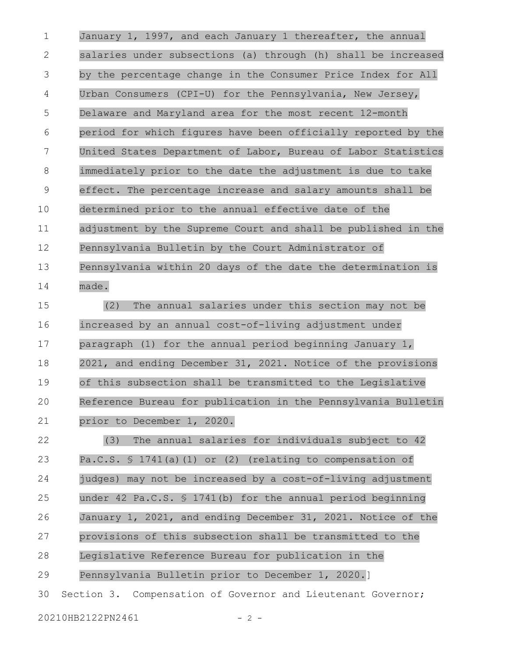January 1, 1997, and each January 1 thereafter, the annual salaries under subsections (a) through (h) shall be increased by the percentage change in the Consumer Price Index for All Urban Consumers (CPI-U) for the Pennsylvania, New Jersey, Delaware and Maryland area for the most recent 12-month period for which figures have been officially reported by the United States Department of Labor, Bureau of Labor Statistics immediately prior to the date the adjustment is due to take effect. The percentage increase and salary amounts shall be determined prior to the annual effective date of the adjustment by the Supreme Court and shall be published in the Pennsylvania Bulletin by the Court Administrator of Pennsylvania within 20 days of the date the determination is made. 1 2 3 4 5 6 7 8 9 10 11 12 13 14

(2) The annual salaries under this section may not be increased by an annual cost-of-living adjustment under paragraph (1) for the annual period beginning January 1, 2021, and ending December 31, 2021. Notice of the provisions of this subsection shall be transmitted to the Legislative Reference Bureau for publication in the Pennsylvania Bulletin prior to December 1, 2020. 15 16 17 18 19 20 21

(3) The annual salaries for individuals subject to 42 Pa.C.S. § 1741(a)(1) or (2) (relating to compensation of judges) may not be increased by a cost-of-living adjustment under 42 Pa.C.S. § 1741(b) for the annual period beginning January 1, 2021, and ending December 31, 2021. Notice of the provisions of this subsection shall be transmitted to the Legislative Reference Bureau for publication in the Pennsylvania Bulletin prior to December 1, 2020.] Section 3. Compensation of Governor and Lieutenant Governor; 22 23 24 25 26 27 28 29 30

20210HB2122PN2461 - 2 -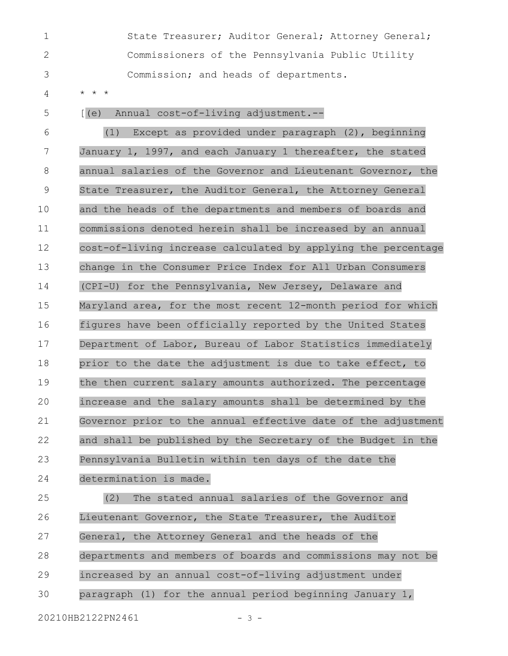|                | State Treasurer; Auditor General; Attorney General;        |
|----------------|------------------------------------------------------------|
|                | Commissioners of the Pennsylvania Public Utility           |
| -3             | Commission; and heads of departments.                      |
| $\overline{4}$ | $\star$ $\star$ $\star$                                    |
| -5             | Annual cost-of-living adjustment.--<br>$\lceil (e) \rceil$ |
| - 6            | Except as provided under paragraph (2), beginning<br>(1)   |

January 1, 1997, and each January 1 thereafter, the stated annual salaries of the Governor and Lieutenant Governor, the State Treasurer, the Auditor General, the Attorney General and the heads of the departments and members of boards and commissions denoted herein shall be increased by an annual cost-of-living increase calculated by applying the percentage change in the Consumer Price Index for All Urban Consumers (CPI-U) for the Pennsylvania, New Jersey, Delaware and Maryland area, for the most recent 12-month period for which figures have been officially reported by the United States Department of Labor, Bureau of Labor Statistics immediately prior to the date the adjustment is due to take effect, to the then current salary amounts authorized. The percentage increase and the salary amounts shall be determined by the Governor prior to the annual effective date of the adjustment and shall be published by the Secretary of the Budget in the Pennsylvania Bulletin within ten days of the date the 7 8 9 10 11 12 13 14 15 16 17 18 19 20 21 22 23

determination is made. 24

(2) The stated annual salaries of the Governor and Lieutenant Governor, the State Treasurer, the Auditor General, the Attorney General and the heads of the departments and members of boards and commissions may not be increased by an annual cost-of-living adjustment under paragraph (1) for the annual period beginning January 1, 25 26 27 28 29 30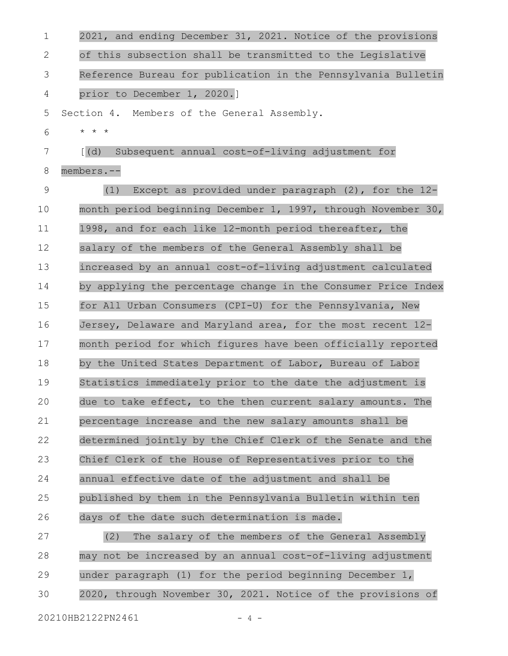| 1<br>2021, and ending December 31, 2021. Notice of the provisions          |
|----------------------------------------------------------------------------|
| of this subsection shall be transmitted to the Legislative<br>2            |
| Reference Bureau for publication in the Pennsylvania Bulletin<br>3         |
| prior to December 1, 2020.]<br>4                                           |
| 5<br>Section 4. Members of the General Assembly.                           |
| $\star$ $\star$ $\star$<br>6                                               |
| $\left[\right](d)$<br>Subsequent annual cost-of-living adjustment for<br>7 |
| 8<br>members.--                                                            |
| 9<br>Except as provided under paragraph $(2)$ , for the $12-$<br>(1)       |
| 10<br>month period beginning December 1, 1997, through November 30,        |
| 11<br>1998, and for each like 12-month period thereafter, the              |
| 12<br>salary of the members of the General Assembly shall be               |
| 13<br>increased by an annual cost-of-living adjustment calculated          |
| 14<br>by applying the percentage change in the Consumer Price Index        |
| 15<br>for All Urban Consumers (CPI-U) for the Pennsylvania, New            |
| 16<br>Jersey, Delaware and Maryland area, for the most recent 12-          |
| 17<br>month period for which figures have been officially reported         |
| 18<br>by the United States Department of Labor, Bureau of Labor            |
| 19<br>Statistics immediately prior to the date the adjustment is           |
| 20<br>due to take effect, to the then current salary amounts. The          |
| 21<br>percentage increase and the new salary amounts shall be              |
| 22<br>determined jointly by the Chief Clerk of the Senate and the          |
| 23<br>Chief Clerk of the House of Representatives prior to the             |
| 24<br>annual effective date of the adjustment and shall be                 |
| 25<br>published by them in the Pennsylvania Bulletin within ten            |
| 26<br>days of the date such determination is made.                         |
| 27<br>The salary of the members of the General Assembly<br>(2)             |
| 28<br>may not be increased by an annual cost-of-living adjustment          |
| 29<br>under paragraph (1) for the period beginning December 1,             |
| 2020, through November 30, 2021. Notice of the provisions of<br>30         |
| 20210HB2122PN2461<br>$-4-$                                                 |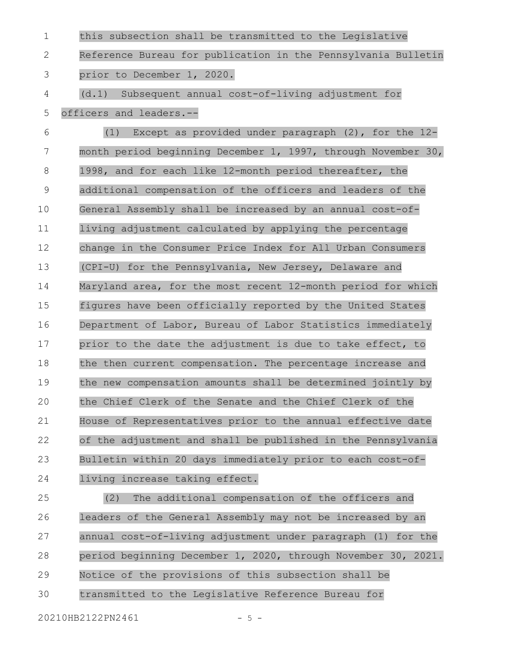this subsection shall be transmitted to the Legislative Reference Bureau for publication in the Pennsylvania Bulletin prior to December 1, 2020. (d.1) Subsequent annual cost-of-living adjustment for officers and leaders.-- (1) Except as provided under paragraph (2), for the 12 month period beginning December 1, 1997, through November 30, 1998, and for each like 12-month period thereafter, the additional compensation of the officers and leaders of the General Assembly shall be increased by an annual cost-ofliving adjustment calculated by applying the percentage change in the Consumer Price Index for All Urban Consumers (CPI-U) for the Pennsylvania, New Jersey, Delaware and Maryland area, for the most recent 12-month period for which figures have been officially reported by the United States Department of Labor, Bureau of Labor Statistics immediately prior to the date the adjustment is due to take effect, to the then current compensation. The percentage increase and the new compensation amounts shall be determined jointly by the Chief Clerk of the Senate and the Chief Clerk of the House of Representatives prior to the annual effective date of the adjustment and shall be published in the Pennsylvania Bulletin within 20 days immediately prior to each cost-ofliving increase taking effect. (2) The additional compensation of the officers and leaders of the General Assembly may not be increased by an annual cost-of-living adjustment under paragraph (1) for the 1 2 3 4 5 6 7 8 9 10 11 12 13 14 15 16 17 18 19 20 21 22 23 24 25 26 27

period beginning December 1, 2020, through November 30, 2021. 28

- Notice of the provisions of this subsection shall be 29
- transmitted to the Legislative Reference Bureau for 30

20210HB2122PN2461 - 5 -